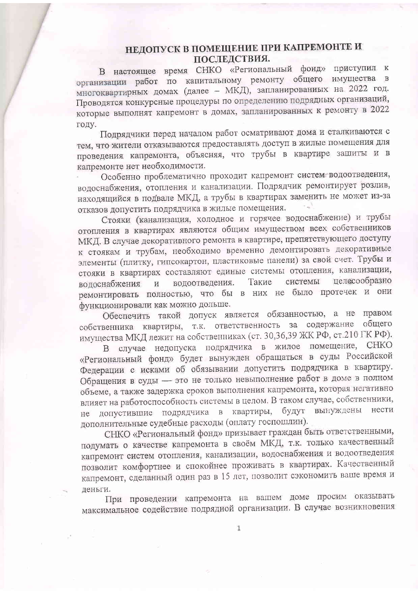## НЕДОПУСК В ПОМЕЩЕНИЕ ПРИ КАПРЕМОНТЕ И ПОСЛЕДСТВИЯ.

В настоящее время СНКО «Региональный фонд» приступил к организации работ по капитальному ремонту общего имущества в многоквартирных домах (далее - МКД), запланированных на 2022 год. Проводятся конкурсные процедуры по определению подрядных организаций, которые выполнят капремонт в домах, запланированных к ремонту в 2022 году.

Подрядчики перед началом работ осматривают дома и сталкиваются с тем, что жители отказываются предоставлять доступ в жилые помещения для проведения капремонта, объясняя, что трубы в квартире зашиты и в капремонте нет необходимости.

Особенно проблематично проходит капремонт систем водоотведения, водоснабжения, отопления и канализации. Подрядчик ремонтирует розлив, находящийся в подвале МКД, а трубы в квартирах заменить не может из-за отказов допустить подрядчика в жилые помещения.

Стояки (канализация, холодное и горячее водоснабжение) и трубы отопления в квартирах являются общим имуществом всех собственников МКД. В случае декоративного ремонта в квартире, препятствующего доступу к стоякам и трубам, необходимо временно демонтировать декоративные элементы (плитку, гипсокартон, пластиковые панели) за свой счет. Трубы и стояки в квартирах составляют единые системы отопления, канализации, пелесообразно системы водоотведения. Такие волоснабжения И ремонтировать полностью, что бы в них не было протечек и они функционировали как можно дольше.

Обеспечить такой допуск является обязанностью, а не правом собственника квартиры, т.к. ответственность за содержание общего имущества МКД лежит на собственниках (ст. 30,36,39 ЖК РФ, ст.210 ГК РФ).

В случае недопуска подрядчика в жилое помещение, СНКО «Региональный фонд» будет вынужден обращаться в суды Российской Федерации с исками об обязывании допустить подрядчика в квартиру. Обращения в суды - это не только невыполнение работ в доме в полном объеме, а также задержка сроков выполнения капремонта, которая негативно влияет на работоспособность системы в целом. В таком случае, собственники, будут вынуждены допустившие подрядчика в квартиры, нести He дополнительные судебные расходы (оплату госпошлин).

СНКО «Региональный фонд» призывает граждан быть ответственными, подумать о качестве капремонта в своём МКД, т.к. только качественный капремонт систем отопления, канализации, водоснабжения и водоотведения позволит комфортнее и спокойнее проживать в квартирах. Качественный капремонт, сделанный один раз в 15 лет, позволит сэкономить ваше время и леньги.

При проведении капремонта на вашем доме просим оказывать максимальное содействие подрядной организации. В случае возникновения

 $\mathbf{1}$